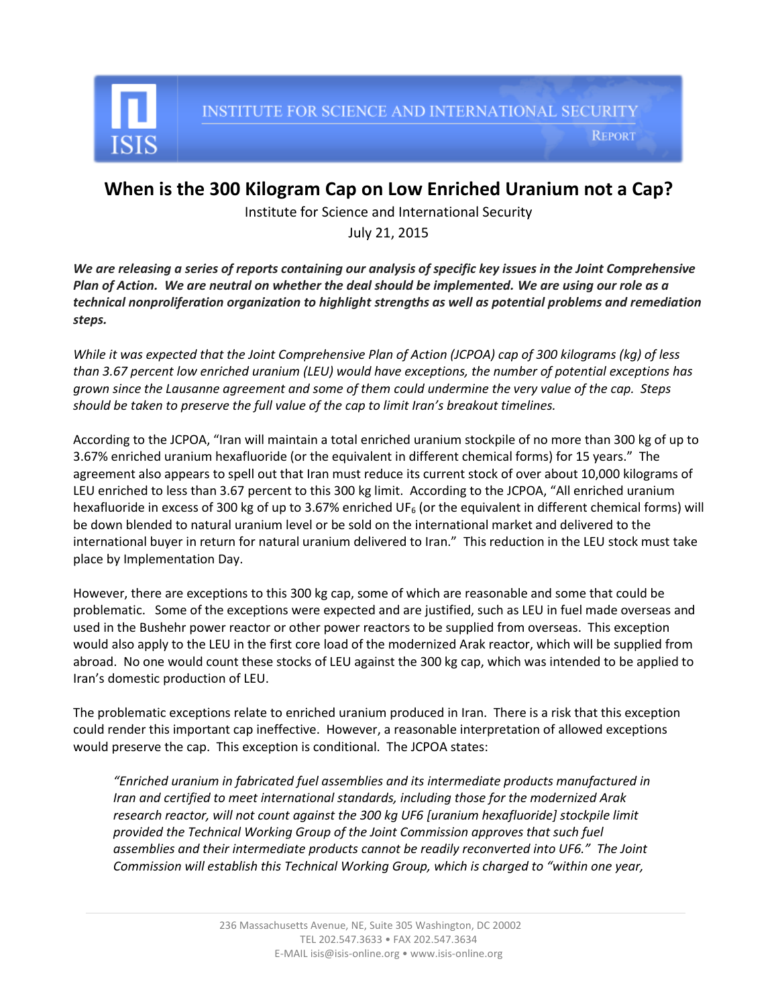

INSTITUTE FOR SCIENCE AND INTERNATIONAL SECURITY

**REPORT** 

## **When is the 300 Kilogram Cap on Low Enriched Uranium not a Cap?**

Institute for Science and International Security

July 21, 2015

*We are releasing a series of reports containing our analysis of specific key issues in the Joint Comprehensive Plan of Action. We are neutral on whether the deal should be implemented. We are using our role as a technical nonproliferation organization to highlight strengths as well as potential problems and remediation steps.* 

*While it was expected that the Joint Comprehensive Plan of Action (JCPOA) cap of 300 kilograms (kg) of less than 3.67 percent low enriched uranium (LEU) would have exceptions, the number of potential exceptions has grown since the Lausanne agreement and some of them could undermine the very value of the cap. Steps should be taken to preserve the full value of the cap to limit Iran's breakout timelines.* 

According to the JCPOA, "Iran will maintain a total enriched uranium stockpile of no more than 300 kg of up to 3.67% enriched uranium hexafluoride (or the equivalent in different chemical forms) for 15 years." The agreement also appears to spell out that Iran must reduce its current stock of over about 10,000 kilograms of LEU enriched to less than 3.67 percent to this 300 kg limit. According to the JCPOA, "All enriched uranium hexafluoride in excess of 300 kg of up to 3.67% enriched UF<sub>6</sub> (or the equivalent in different chemical forms) will be down blended to natural uranium level or be sold on the international market and delivered to the international buyer in return for natural uranium delivered to Iran." This reduction in the LEU stock must take place by Implementation Day.

However, there are exceptions to this 300 kg cap, some of which are reasonable and some that could be problematic. Some of the exceptions were expected and are justified, such as LEU in fuel made overseas and used in the Bushehr power reactor or other power reactors to be supplied from overseas. This exception would also apply to the LEU in the first core load of the modernized Arak reactor, which will be supplied from abroad. No one would count these stocks of LEU against the 300 kg cap, which was intended to be applied to Iran's domestic production of LEU.

The problematic exceptions relate to enriched uranium produced in Iran. There is a risk that this exception could render this important cap ineffective. However, a reasonable interpretation of allowed exceptions would preserve the cap. This exception is conditional. The JCPOA states:

*"Enriched uranium in fabricated fuel assemblies and its intermediate products manufactured in Iran and certified to meet international standards, including those for the modernized Arak research reactor, will not count against the 300 kg UF6 [uranium hexafluoride] stockpile limit provided the Technical Working Group of the Joint Commission approves that such fuel assemblies and their intermediate products cannot be readily reconverted into UF6." The Joint Commission will establish this Technical Working Group, which is charged to "within one year,*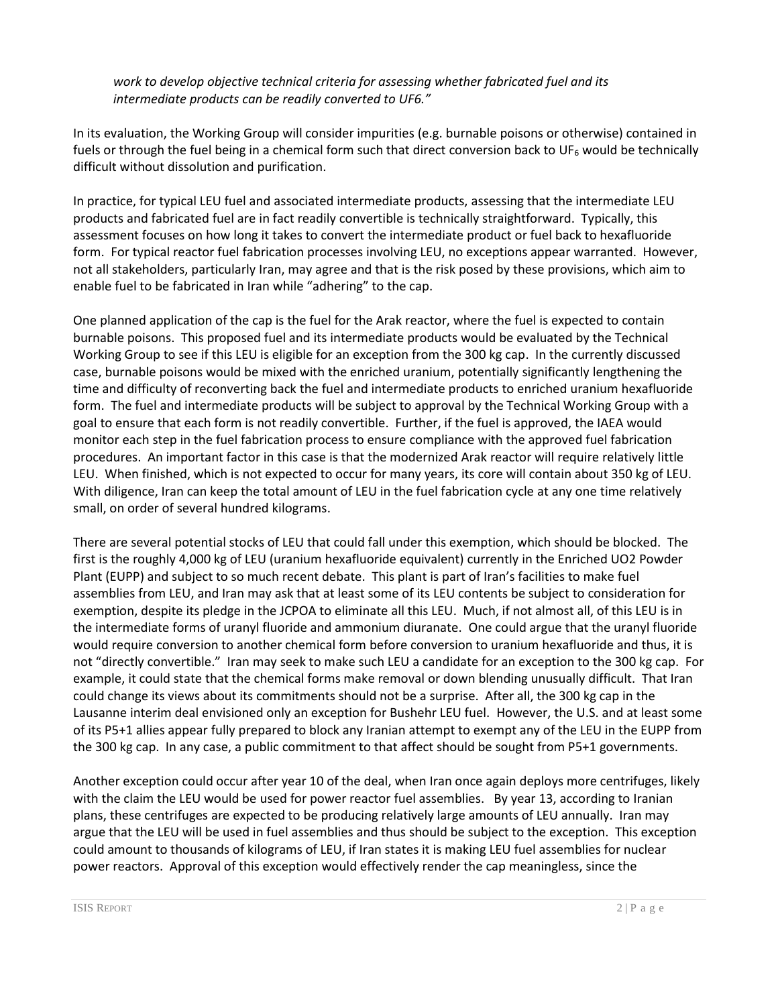*work to develop objective technical criteria for assessing whether fabricated fuel and its intermediate products can be readily converted to UF6."* 

In its evaluation, the Working Group will consider impurities (e.g. burnable poisons or otherwise) contained in fuels or through the fuel being in a chemical form such that direct conversion back to UF<sub>6</sub> would be technically difficult without dissolution and purification.

In practice, for typical LEU fuel and associated intermediate products, assessing that the intermediate LEU products and fabricated fuel are in fact readily convertible is technically straightforward. Typically, this assessment focuses on how long it takes to convert the intermediate product or fuel back to hexafluoride form. For typical reactor fuel fabrication processes involving LEU, no exceptions appear warranted. However, not all stakeholders, particularly Iran, may agree and that is the risk posed by these provisions, which aim to enable fuel to be fabricated in Iran while "adhering" to the cap.

One planned application of the cap is the fuel for the Arak reactor, where the fuel is expected to contain burnable poisons. This proposed fuel and its intermediate products would be evaluated by the Technical Working Group to see if this LEU is eligible for an exception from the 300 kg cap. In the currently discussed case, burnable poisons would be mixed with the enriched uranium, potentially significantly lengthening the time and difficulty of reconverting back the fuel and intermediate products to enriched uranium hexafluoride form. The fuel and intermediate products will be subject to approval by the Technical Working Group with a goal to ensure that each form is not readily convertible. Further, if the fuel is approved, the IAEA would monitor each step in the fuel fabrication process to ensure compliance with the approved fuel fabrication procedures. An important factor in this case is that the modernized Arak reactor will require relatively little LEU. When finished, which is not expected to occur for many years, its core will contain about 350 kg of LEU. With diligence, Iran can keep the total amount of LEU in the fuel fabrication cycle at any one time relatively small, on order of several hundred kilograms.

There are several potential stocks of LEU that could fall under this exemption, which should be blocked. The first is the roughly 4,000 kg of LEU (uranium hexafluoride equivalent) currently in the Enriched UO2 Powder Plant (EUPP) and subject to so much recent debate. This plant is part of Iran's facilities to make fuel assemblies from LEU, and Iran may ask that at least some of its LEU contents be subject to consideration for exemption, despite its pledge in the JCPOA to eliminate all this LEU. Much, if not almost all, of this LEU is in the intermediate forms of uranyl fluoride and ammonium diuranate. One could argue that the uranyl fluoride would require conversion to another chemical form before conversion to uranium hexafluoride and thus, it is not "directly convertible." Iran may seek to make such LEU a candidate for an exception to the 300 kg cap. For example, it could state that the chemical forms make removal or down blending unusually difficult. That Iran could change its views about its commitments should not be a surprise. After all, the 300 kg cap in the Lausanne interim deal envisioned only an exception for Bushehr LEU fuel. However, the U.S. and at least some of its P5+1 allies appear fully prepared to block any Iranian attempt to exempt any of the LEU in the EUPP from the 300 kg cap. In any case, a public commitment to that affect should be sought from P5+1 governments.

Another exception could occur after year 10 of the deal, when Iran once again deploys more centrifuges, likely with the claim the LEU would be used for power reactor fuel assemblies. By year 13, according to Iranian plans, these centrifuges are expected to be producing relatively large amounts of LEU annually. Iran may argue that the LEU will be used in fuel assemblies and thus should be subject to the exception. This exception could amount to thousands of kilograms of LEU, if Iran states it is making LEU fuel assemblies for nuclear power reactors. Approval of this exception would effectively render the cap meaningless, since the